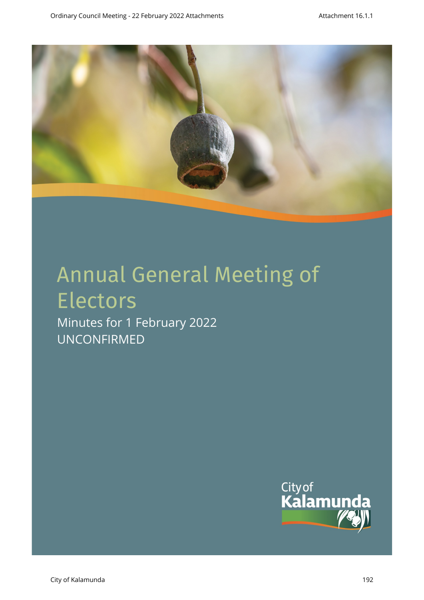

# Annual General Meeting of Electors

Minutes for 1 February 2022 UNCONFIRMED

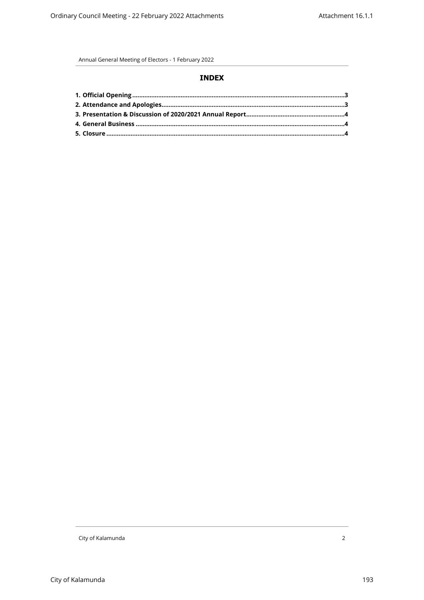Annual General Meeting of Electors - 1 February 2022

### **INDEX**

City of Kalamunda 2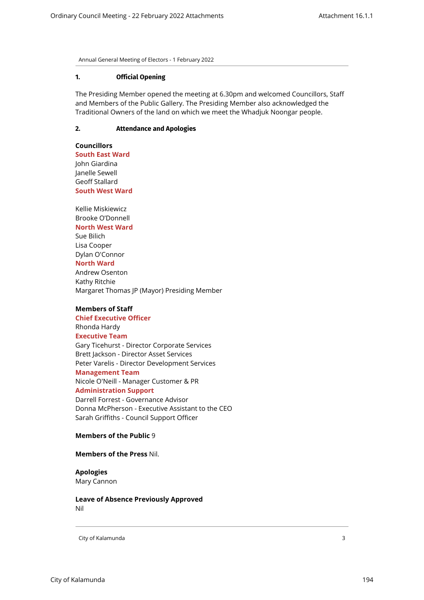<span id="page-2-0"></span>Annual General Meeting of Electors - 1 February 2022

#### **1. Official Opening**

<span id="page-2-1"></span>The Presiding Member opened the meeting at 6.30pm and welcomed Councillors, Staff and Members of the Public Gallery. The Presiding Member also acknowledged the Traditional Owners of the land on which we meet the Whadjuk Noongar people.

# **2. Attendance and Apologies**

**Councillors South East Ward**  John Giardina Janelle Sewell Geoff Stallard **South West Ward**

Kellie Miskiewicz Brooke O'Donnell **North West Ward** Sue Bilich Lisa Cooper Dylan O'Connor **North Ward** Andrew Osenton Kathy Ritchie Margaret Thomas JP (Mayor) Presiding Member

## **Members of Staff**

**Chief Executive Officer** Rhonda Hardy **Executive Team** Gary Ticehurst - Director Corporate Services Brett Jackson - Director Asset Services Peter Varelis - Director Development Services **Management Team** Nicole O'Neill - Manager Customer & PR **Administration Support** Darrell Forrest - Governance Advisor Donna McPherson - Executive Assistant to the CEO Sarah Griffiths - Council Support Officer

#### **Members of the Public** 9

#### **Members of the Press** Nil.

# **Apologies**

Mary Cannon

**Leave of Absence Previously Approved** Nil

City of Kalamunda 3